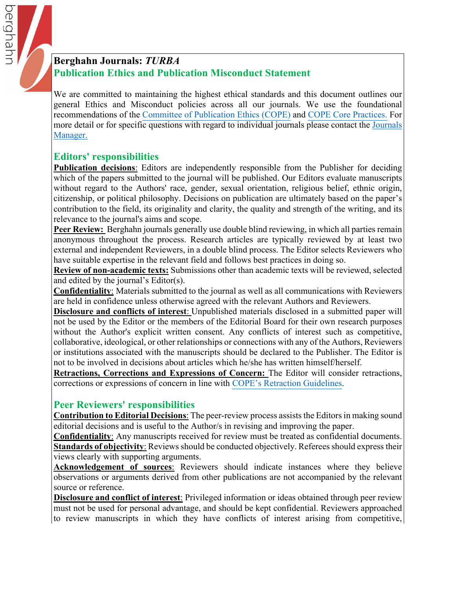

We are committed to maintaining the highest ethical standards and this document outlines our general Ethics and Misconduct policies across all our journals. We use the foundational recommendations of the [Committee of Publication Ethics \(COPE\)](https://publicationethics.org) and [COPE Core Practices](https://publicationethics.org/files/editable-bean/COPE_Core_Practices_0.pdf). For more detail or for specific questions with regard to individual journals please contact the Journals Manager.

## **Editors' responsibilities**

berghahr

**Publication decisions**: Editors are independently responsible from the Publisher for deciding which of the papers submitted to the journal will be published. Our Editors evaluate manuscripts without regard to the Authors' race, gender, sexual orientation, religious belief, ethnic origin, citizenship, or political philosophy. Decisions on publication are ultimately based on the paper's contribution to the field, its originality and clarity, the quality and strength of the writing, and its relevance to the journal's aims and scope.

Peer Review: Berghahn journals generally use double blind reviewing, in which all parties remain anonymous throughout the process. Research articles are typically reviewed by at least two external and independent Reviewers, in a double blind process. The Editor selects Reviewers who have suitable expertise in the relevant field and follows best practices in doing so.

**Review of non-academic texts:** Submissions other than academic texts will be reviewed, selected and edited by the journal's Editor(s).

**Confidentiality**: Materials submitted to the journal as well as all communications with Reviewers are held in confidence unless otherwise agreed with the relevant Authors and Reviewers.

**Disclosure and conflicts of interest**: Unpublished materials disclosed in a submitted paper will not be used by the Editor or the members of the Editorial Board for their own research purposes without the Author's explicit written consent. Any conflicts of interest such as competitive, collaborative, ideological, or other relationships or connections with any of the Authors, Reviewers or institutions associated with the manuscripts should be declared to the Publisher. The Editor is not to be involved in decisions about articles which he/she has written himself/herself.

**Retractions, Corrections and Expressions of Concern:** The Editor will consider retractions, corrections or expressions of concern in line with [COPE's Retraction Guidelines](https://publicationethics.org/retraction-guidelines).

## **Peer Reviewers' responsibilities**

**Contribution to Editorial Decisions**: The peer-review process assists the Editors in making sound editorial decisions and is useful to the Author/s in revising and improving the paper.

**Confidentiality**: Any manuscripts received for review must be treated as confidential documents. **Standards of objectivity**: Reviews should be conducted objectively. Referees should express their views clearly with supporting arguments.

**Acknowledgement of sources**: Reviewers should indicate instances where they believe observations or arguments derived from other publications are not accompanied by the relevant source or reference.

**Disclosure and conflict of interest**: Privileged information or ideas obtained through peer review must not be used for personal advantage, and should be kept confidential. Reviewers approached to review manuscripts in which they have conflicts of interest arising from competitive,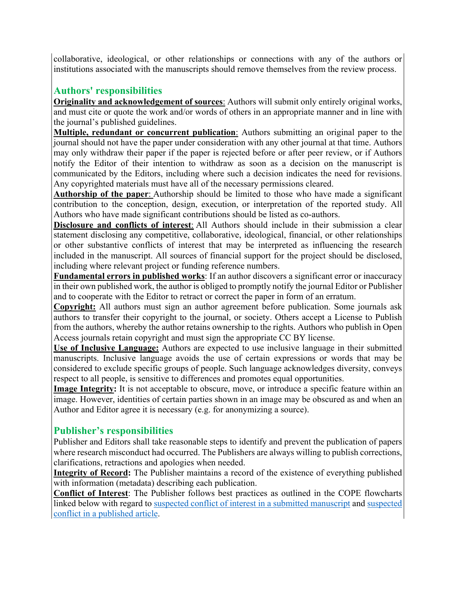collaborative, ideological, or other relationships or connections with any of the authors or institutions associated with the manuscripts should remove themselves from the review process.

## **Authors' responsibilities**

**Originality and acknowledgement of sources**: Authors will submit only entirely original works, and must cite or quote the work and/or words of others in an appropriate manner and in line with the journal's published guidelines.

**Multiple, redundant or concurrent publication**: Authors submitting an original paper to the journal should not have the paper under consideration with any other journal at that time. Authors may only withdraw their paper if the paper is rejected before or after peer review, or if Authors notify the Editor of their intention to withdraw as soon as a decision on the manuscript is communicated by the Editors, including where such a decision indicates the need for revisions. Any copyrighted materials must have all of the necessary permissions cleared.

**Authorship of the paper**: Authorship should be limited to those who have made a significant contribution to the conception, design, execution, or interpretation of the reported study. All Authors who have made significant contributions should be listed as co-authors.

**Disclosure and conflicts of interest**: All Authors should include in their submission a clear statement disclosing any competitive, collaborative, ideological, financial, or other relationships or other substantive conflicts of interest that may be interpreted as influencing the research included in the manuscript. All sources of financial support for the project should be disclosed, including where relevant project or funding reference numbers.

**Fundamental errors in published works**: If an author discovers a significant error or inaccuracy in their own published work, the author is obliged to promptly notify the journal Editor or Publisher and to cooperate with the Editor to retract or correct the paper in form of an erratum.

**Copyright:** All authors must sign an author agreement before publication. Some journals ask authors to transfer their copyright to the journal, or society. Others accept a License to Publish from the authors, whereby the author retains ownership to the rights. Authors who publish in Open Access journals retain copyright and must sign the appropriate CC BY license.

**Use of Inclusive Language:** Authors are expected to use inclusive language in their submitted manuscripts. Inclusive language avoids the use of certain expressions or words that may be considered to exclude specific groups of people. Such language acknowledges diversity, conveys respect to all people, is sensitive to differences and promotes equal opportunities.

**Image Integrity:** It is not acceptable to obscure, move, or introduce a specific feature within an image. However, identities of certain parties shown in an image may be obscured as and when an Author and Editor agree it is necessary (e.g. for anonymizing a source).

## **Publisher's responsibilities**

Publisher and Editors shall take reasonable steps to identify and prevent the publication of papers where research misconduct had occurred. The Publishers are always willing to publish corrections, clarifications, retractions and apologies when needed.

**Integrity of Record:** The Publisher maintains a record of the existence of everything published with information (metadata) describing each publication.

**Conflict of Interest**: The Publisher follows best practices as outlined in the COPE flowcharts linked below with regard to [suspected conflict of interest in a submitted manuscript](https://publicationethics.org/files/COI%20submitted.pdf) and suspected conf[lict in a published art](https://publicationethics.org/files/COI%20published.pdf)icle.